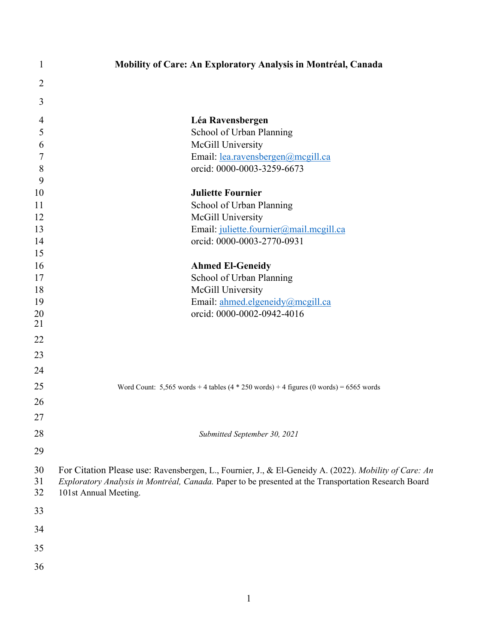| 1              |                       | Mobility of Care: An Exploratory Analysis in Montréal, Canada                                         |
|----------------|-----------------------|-------------------------------------------------------------------------------------------------------|
| 2              |                       |                                                                                                       |
| 3              |                       |                                                                                                       |
|                |                       |                                                                                                       |
| $\overline{4}$ |                       | Léa Ravensbergen                                                                                      |
| 5<br>6         |                       | School of Urban Planning<br>McGill University                                                         |
| 7              |                       | Email: lea.ravensbergen@mcgill.ca                                                                     |
| 8              |                       | orcid: 0000-0003-3259-6673                                                                            |
| 9              |                       |                                                                                                       |
| 10             |                       | <b>Juliette Fournier</b>                                                                              |
| 11             |                       | School of Urban Planning                                                                              |
| 12             |                       | McGill University                                                                                     |
| 13             |                       | Email: juliette.fournier@mail.mcgill.ca                                                               |
| 14             |                       | orcid: 0000-0003-2770-0931                                                                            |
| 15             |                       |                                                                                                       |
| 16             |                       | <b>Ahmed El-Geneidy</b>                                                                               |
| 17             |                       | School of Urban Planning                                                                              |
| 18             |                       | McGill University                                                                                     |
| 19             |                       | Email: ahmed.elgeneidy@mcgill.ca                                                                      |
| 20             |                       | orcid: 0000-0002-0942-4016                                                                            |
| 21             |                       |                                                                                                       |
| 22             |                       |                                                                                                       |
| 23             |                       |                                                                                                       |
| 24             |                       |                                                                                                       |
| 25             |                       | Word Count: $5,565$ words + 4 tables $(4 * 250$ words) + 4 figures $(0$ words) = 6565 words           |
| 26             |                       |                                                                                                       |
| 27             |                       |                                                                                                       |
| 28             |                       | Submitted September 30, 2021                                                                          |
| 29             |                       |                                                                                                       |
| 30             |                       | For Citation Please use: Ravensbergen, L., Fournier, J., & El-Geneidy A. (2022). Mobility of Care: An |
| 31             |                       | Exploratory Analysis in Montréal, Canada. Paper to be presented at the Transportation Research Board  |
| 32             | 101st Annual Meeting. |                                                                                                       |
| 33             |                       |                                                                                                       |
| 34             |                       |                                                                                                       |
|                |                       |                                                                                                       |
| 35             |                       |                                                                                                       |
| 36             |                       |                                                                                                       |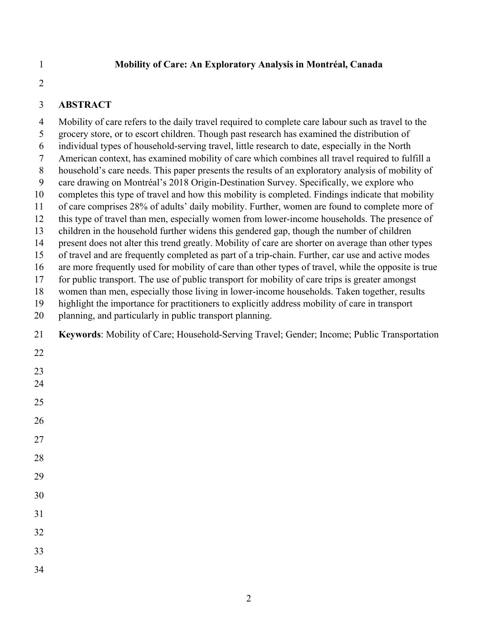#### 1 **Mobility of Care: An Exploratory Analysis in Montréal, Canada**

2

### 3 **ABSTRACT**

4 Mobility of care refers to the daily travel required to complete care labour such as travel to the 5 grocery store, or to escort children. Though past research has examined the distribution of 6 individual types of household-serving travel, little research to date, especially in the North 7 American context, has examined mobility of care which combines all travel required to fulfill a 8 household's care needs. This paper presents the results of an exploratory analysis of mobility of 9 care drawing on Montréal's 2018 Origin-Destination Survey. Specifically, we explore who 10 completes this type of travel and how this mobility is completed. Findings indicate that mobility 11 of care comprises 28% of adults' daily mobility. Further, women are found to complete more of 12 this type of travel than men, especially women from lower-income households. The presence of 13 children in the household further widens this gendered gap, though the number of children 14 present does not alter this trend greatly. Mobility of care are shorter on average than other types 15 of travel and are frequently completed as part of a trip-chain. Further, car use and active modes 16 are more frequently used for mobility of care than other types of travel, while the opposite is true 17 for public transport. The use of public transport for mobility of care trips is greater amongst 18 women than men, especially those living in lower-income households. Taken together, results 19 highlight the importance for practitioners to explicitly address mobility of care in transport 20 planning, and particularly in public transport planning. 21 **Keywords**: Mobility of Care; Household-Serving Travel; Gender; Income; Public Transportation 22 23 24 25 26 27 28 29 30 31 32 33 34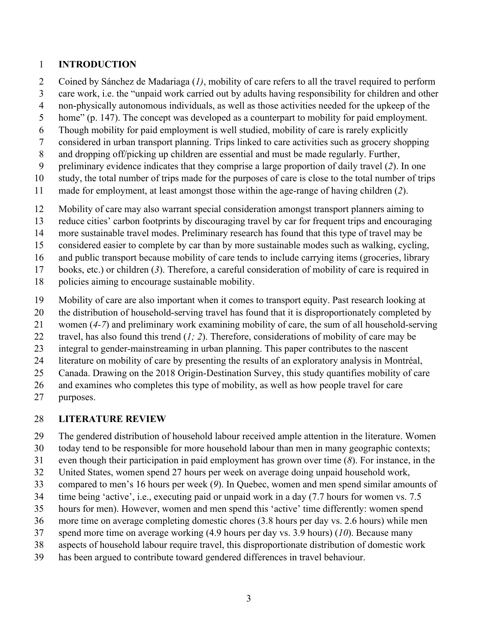### 1 **INTRODUCTION**

- 2 Coined by Sánchez de Madariaga (*1)*, mobility of care refers to all the travel required to perform
- 3 care work, i.e. the "unpaid work carried out by adults having responsibility for children and other
- 4 non-physically autonomous individuals, as well as those activities needed for the upkeep of the
- 5 home" (p. 147). The concept was developed as a counterpart to mobility for paid employment.
- 6 Though mobility for paid employment is well studied, mobility of care is rarely explicitly
- 7 considered in urban transport planning. Trips linked to care activities such as grocery shopping
- 8 and dropping off/picking up children are essential and must be made regularly. Further,
- 9 preliminary evidence indicates that they comprise a large proportion of daily travel (*2*). In one
- 10 study, the total number of trips made for the purposes of care is close to the total number of trips
- 11 made for employment, at least amongst those within the age-range of having children (*2*).
- 12 Mobility of care may also warrant special consideration amongst transport planners aiming to
- 13 reduce cities' carbon footprints by discouraging travel by car for frequent trips and encouraging
- 14 more sustainable travel modes. Preliminary research has found that this type of travel may be
- 15 considered easier to complete by car than by more sustainable modes such as walking, cycling,
- 16 and public transport because mobility of care tends to include carrying items (groceries, library
- 17 books, etc.) or children (*3*). Therefore, a careful consideration of mobility of care is required in
- 18 policies aiming to encourage sustainable mobility.
- 19 Mobility of care are also important when it comes to transport equity. Past research looking at
- 20 the distribution of household-serving travel has found that it is disproportionately completed by
- 21 women (*4-7*) and preliminary work examining mobility of care, the sum of all household-serving
- 22 travel, has also found this trend (*1; 2*). Therefore, considerations of mobility of care may be
- 23 integral to gender-mainstreaming in urban planning. This paper contributes to the nascent
- 24 literature on mobility of care by presenting the results of an exploratory analysis in Montréal,
- 25 Canada. Drawing on the 2018 Origin-Destination Survey, this study quantifies mobility of care
- 26 and examines who completes this type of mobility, as well as how people travel for care
- 27 purposes.

## 28 **LITERATURE REVIEW**

- 29 The gendered distribution of household labour received ample attention in the literature. Women
- 30 today tend to be responsible for more household labour than men in many geographic contexts;
- 31 even though their participation in paid employment has grown over time (*8*). For instance, in the
- 32 United States, women spend 27 hours per week on average doing unpaid household work,
- 33 compared to men's 16 hours per week (*9*). In Quebec, women and men spend similar amounts of
- 34 time being 'active', i.e., executing paid or unpaid work in a day (7.7 hours for women vs. 7.5
- 35 hours for men). However, women and men spend this 'active' time differently: women spend
- 36 more time on average completing domestic chores (3.8 hours per day vs. 2.6 hours) while men
- 37 spend more time on average working (4.9 hours per day vs. 3.9 hours) (*10*). Because many
- 38 aspects of household labour require travel, this disproportionate distribution of domestic work
- 39 has been argued to contribute toward gendered differences in travel behaviour.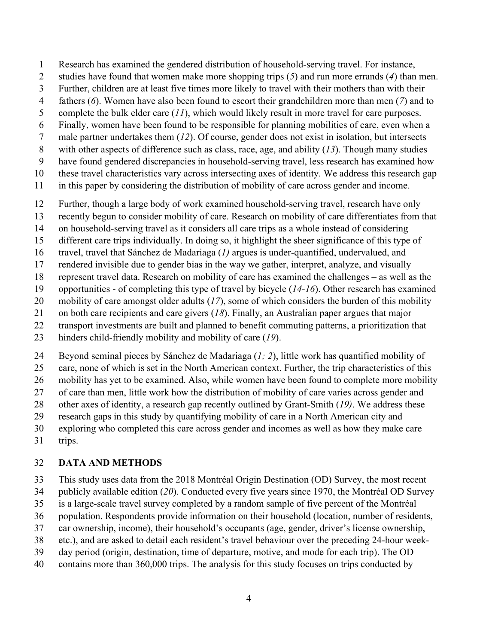- 1 Research has examined the gendered distribution of household-serving travel. For instance,
- 2 studies have found that women make more shopping trips (*5*) and run more errands (*4*) than men.
- 3 Further, children are at least five times more likely to travel with their mothers than with their
- 4 fathers (*6*). Women have also been found to escort their grandchildren more than men (*7*) and to
- 5 complete the bulk elder care (*11*), which would likely result in more travel for care purposes.
- 6 Finally, women have been found to be responsible for planning mobilities of care, even when a
- 7 male partner undertakes them (*12*). Of course, gender does not exist in isolation, but intersects
- 8 with other aspects of difference such as class, race, age, and ability (*13*). Though many studies
- 9 have found gendered discrepancies in household-serving travel, less research has examined how
- 10 these travel characteristics vary across intersecting axes of identity. We address this research gap
- 11 in this paper by considering the distribution of mobility of care across gender and income.
- 12 Further, though a large body of work examined household-serving travel, research have only
- 13 recently begun to consider mobility of care. Research on mobility of care differentiates from that
- 14 on household-serving travel as it considers all care trips as a whole instead of considering
- 15 different care trips individually. In doing so, it highlight the sheer significance of this type of
- 16 travel, travel that Sánchez de Madariaga (*1)* argues is under-quantified, undervalued, and
- 17 rendered invisible due to gender bias in the way we gather, interpret, analyze, and visually
- 18 represent travel data. Research on mobility of care has examined the challenges as well as the
- 19 opportunities of completing this type of travel by bicycle (*14-16*). Other research has examined
- 20 mobility of care amongst older adults (*17*), some of which considers the burden of this mobility
- 21 on both care recipients and care givers (*18*). Finally, an Australian paper argues that major
- 22 transport investments are built and planned to benefit commuting patterns, a prioritization that
- 23 hinders child-friendly mobility and mobility of care (*19*).
- 24 Beyond seminal pieces by Sánchez de Madariaga (*1; 2*), little work has quantified mobility of
- 25 care, none of which is set in the North American context. Further, the trip characteristics of this
- 26 mobility has yet to be examined. Also, while women have been found to complete more mobility
- 27 of care than men, little work how the distribution of mobility of care varies across gender and
- 28 other axes of identity, a research gap recently outlined by Grant-Smith (*19)*. We address these
- 29 research gaps in this study by quantifying mobility of care in a North American city and
- 30 exploring who completed this care across gender and incomes as well as how they make care
- 31 trips.

## 32 **DATA AND METHODS**

- 33 This study uses data from the 2018 Montréal Origin Destination (OD) Survey, the most recent
- 34 publicly available edition (*20*). Conducted every five years since 1970, the Montréal OD Survey
- 35 is a large-scale travel survey completed by a random sample of five percent of the Montréal
- 36 population. Respondents provide information on their household (location, number of residents,
- 37 car ownership, income), their household's occupants (age, gender, driver's license ownership,
- 38 etc.), and are asked to detail each resident's travel behaviour over the preceding 24-hour week-
- 39 day period (origin, destination, time of departure, motive, and mode for each trip). The OD
- 40 contains more than 360,000 trips. The analysis for this study focuses on trips conducted by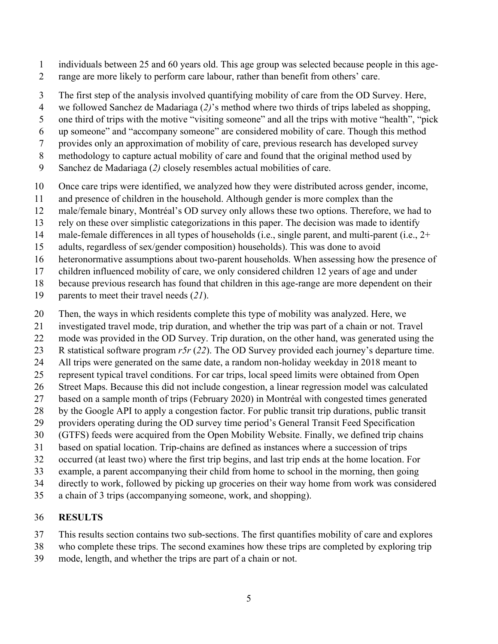- 1 individuals between 25 and 60 years old. This age group was selected because people in this age-
- 2 range are more likely to perform care labour, rather than benefit from others' care.
- 3 The first step of the analysis involved quantifying mobility of care from the OD Survey. Here,
- 4 we followed Sanchez de Madariaga (*2)*'s method where two thirds of trips labeled as shopping,
- 5 one third of trips with the motive "visiting someone" and all the trips with motive "health", "pick
- 6 up someone" and "accompany someone" are considered mobility of care. Though this method
- 7 provides only an approximation of mobility of care, previous research has developed survey
- 8 methodology to capture actual mobility of care and found that the original method used by
- 9 Sanchez de Madariaga (*2)* closely resembles actual mobilities of care.
- 10 Once care trips were identified, we analyzed how they were distributed across gender, income,
- 11 and presence of children in the household. Although gender is more complex than the
- 12 male/female binary, Montréal's OD survey only allows these two options. Therefore, we had to
- 13 rely on these over simplistic categorizations in this paper. The decision was made to identify
- 14 male-female differences in all types of households (i.e., single parent, and multi-parent (i.e., 2+
- 15 adults, regardless of sex/gender composition) households). This was done to avoid
- 16 heteronormative assumptions about two-parent households. When assessing how the presence of
- 17 children influenced mobility of care, we only considered children 12 years of age and under
- 18 because previous research has found that children in this age-range are more dependent on their
- 19 parents to meet their travel needs (*21*).
- 20 Then, the ways in which residents complete this type of mobility was analyzed. Here, we
- 21 investigated travel mode, trip duration, and whether the trip was part of a chain or not. Travel
- 22 mode was provided in the OD Survey. Trip duration, on the other hand, was generated using the
- 23 R statistical software program *r5r* (*22*). The OD Survey provided each journey's departure time.
- 24 All trips were generated on the same date, a random non-holiday weekday in 2018 meant to
- 25 represent typical travel conditions. For car trips, local speed limits were obtained from Open
- 26 Street Maps. Because this did not include congestion, a linear regression model was calculated
- 27 based on a sample month of trips (February 2020) in Montréal with congested times generated
- 28 by the Google API to apply a congestion factor. For public transit trip durations, public transit
- 29 providers operating during the OD survey time period's General Transit Feed Specification
- 30 (GTFS) feeds were acquired from the Open Mobility Website. Finally, we defined trip chains 31 based on spatial location. Trip-chains are defined as instances where a succession of trips
- 32 occurred (at least two) where the first trip begins, and last trip ends at the home location. For
- 33 example, a parent accompanying their child from home to school in the morning, then going
- 34 directly to work, followed by picking up groceries on their way home from work was considered
- 35 a chain of 3 trips (accompanying someone, work, and shopping).

## 36 **RESULTS**

- 37 This results section contains two sub-sections. The first quantifies mobility of care and explores
- 38 who complete these trips. The second examines how these trips are completed by exploring trip
- 39 mode, length, and whether the trips are part of a chain or not.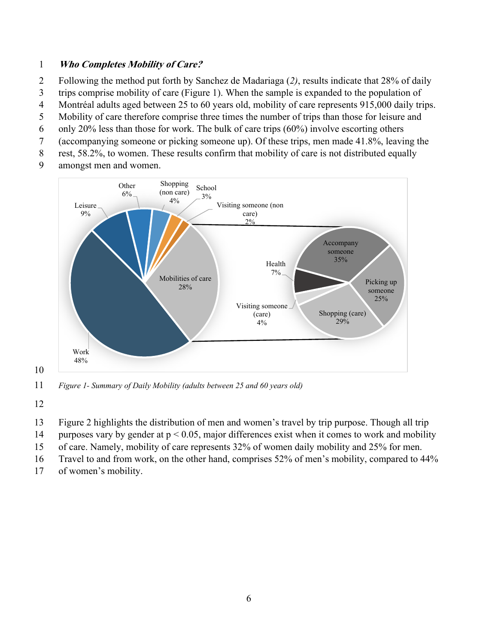### 1 **Who Completes Mobility of Care?**

- 2 Following the method put forth by Sanchez de Madariaga (*2)*, results indicate that 28% of daily
- 3 trips comprise mobility of care (Figure 1). When the sample is expanded to the population of
- 4 Montréal adults aged between 25 to 60 years old, mobility of care represents 915,000 daily trips.
- 5 Mobility of care therefore comprise three times the number of trips than those for leisure and
- 6 only 20% less than those for work. The bulk of care trips  $(60\%)$  involve escorting others
- 7 (accompanying someone or picking someone up). Of these trips, men made 41.8%, leaving the
- 8 rest, 58.2%, to women. These results confirm that mobility of care is not distributed equally
- 9 amongst men and women.



11 *Figure 1- Summary of Daily Mobility (adults between 25 and 60 years old)* 

12

- 13 Figure 2 highlights the distribution of men and women's travel by trip purpose. Though all trip
- 14 purposes vary by gender at p < 0.05, major differences exist when it comes to work and mobility
- 15 of care. Namely, mobility of care represents 32% of women daily mobility and 25% for men.
- 16 Travel to and from work, on the other hand, comprises 52% of men's mobility, compared to 44%
- 17 of women's mobility.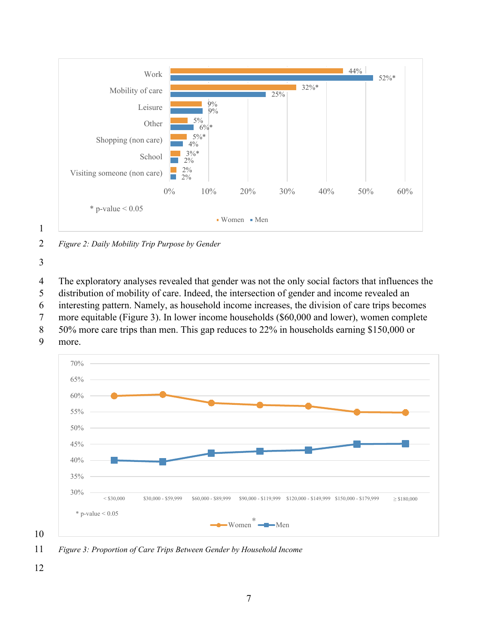

2 *Figure 2: Daily Mobility Trip Purpose by Gender* 

3

1

4 The exploratory analyses revealed that gender was not the only social factors that influences the 5 distribution of mobility of care. Indeed, the intersection of gender and income revealed an

6 interesting pattern. Namely, as household income increases, the division of care trips becomes

7 more equitable (Figure 3). In lower income households (\$60,000 and lower), women complete

- 8 50% more care trips than men. This gap reduces to 22% in households earning \$150,000 or
- 9 more.



11 *Figure 3: Proportion of Care Trips Between Gender by Household Income*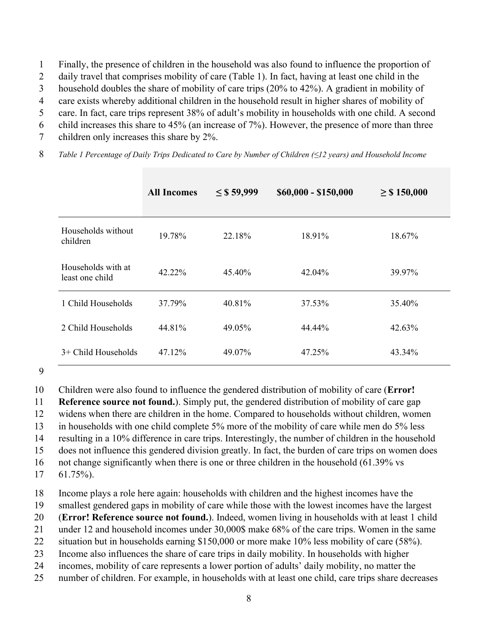1 Finally, the presence of children in the household was also found to influence the proportion of

2 daily travel that comprises mobility of care (Table 1). In fact, having at least one child in the

3 household doubles the share of mobility of care trips (20% to 42%). A gradient in mobility of

4 care exists whereby additional children in the household result in higher shares of mobility of

5 care. In fact, care trips represent 38% of adult's mobility in households with one child. A second

6 child increases this share to 45% (an increase of 7%). However, the presence of more than three

7 children only increases this share by 2%.

8 *Table 1 Percentage of Daily Trips Dedicated to Care by Number of Children (≤12 years) and Household Income* 

|                                       | <b>All Incomes</b> | $\leq$ \$ 59,999 | \$60,000 - \$150,000 | $\geq$ \$ 150,000 |
|---------------------------------------|--------------------|------------------|----------------------|-------------------|
| Households without<br>children        | 19.78%             | 22.18%           | 18.91%               | 18.67%            |
| Households with at<br>least one child | 42.22%             | 45.40%           | 42.04%               | 39.97%            |
| 1 Child Households                    | 37.79%             | 40.81%           | 37.53%               | 35.40%            |
| 2 Child Households                    | 44.81%             | 49.05%           | 44.44%               | 42.63%            |
| $3+$ Child Households                 | 47.12%             | 49.07%           | 47.25%               | 43.34%            |

#### 9

10 Children were also found to influence the gendered distribution of mobility of care (**Error!** 

11 **Reference source not found.**). Simply put, the gendered distribution of mobility of care gap

12 widens when there are children in the home. Compared to households without children, women

13 in households with one child complete 5% more of the mobility of care while men do 5% less

14 resulting in a 10% difference in care trips. Interestingly, the number of children in the household

15 does not influence this gendered division greatly. In fact, the burden of care trips on women does

16 not change significantly when there is one or three children in the household (61.39% vs

17 61.75%).

18 Income plays a role here again: households with children and the highest incomes have the

19 smallest gendered gaps in mobility of care while those with the lowest incomes have the largest

20 (**Error! Reference source not found.**). Indeed, women living in households with at least 1 child

21 under 12 and household incomes under 30,000\$ make 68% of the care trips. Women in the same

22 situation but in households earning \$150,000 or more make 10% less mobility of care (58%).

23 Income also influences the share of care trips in daily mobility. In households with higher

24 incomes, mobility of care represents a lower portion of adults' daily mobility, no matter the

25 number of children. For example, in households with at least one child, care trips share decreases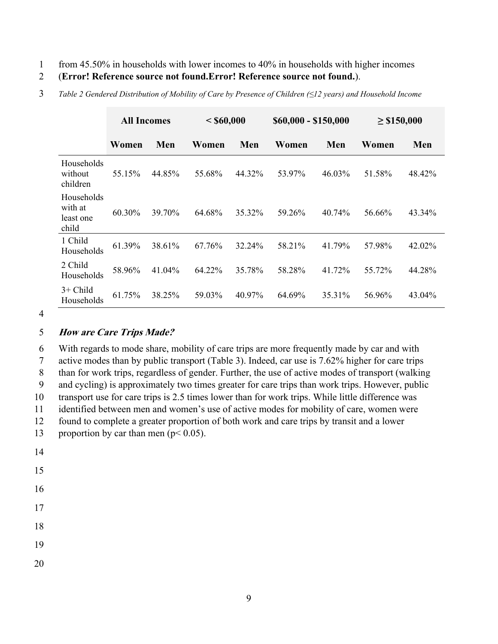- 1 from 45.50% in households with lower incomes to 40% in households with higher incomes
- 2 (**Error! Reference source not found.Error! Reference source not found.**).

|                                             | <b>All Incomes</b> |        | < \$60,000 |        | \$60,000 - \$150,000 |        | $\geq$ \$150,000 |        |
|---------------------------------------------|--------------------|--------|------------|--------|----------------------|--------|------------------|--------|
|                                             | Women              | Men    | Women      | Men    | Women                | Men    | Women            | Men    |
| Households<br>without<br>children           | 55.15%             | 44.85% | 55.68%     | 44.32% | 53.97%               | 46.03% | 51.58%           | 48.42% |
| Households<br>with at<br>least one<br>child | 60.30%             | 39.70% | 64.68%     | 35.32% | 59.26%               | 40.74% | 56.66%           | 43.34% |
| 1 Child<br>Households                       | 61.39%             | 38.61% | 67.76%     | 32.24% | 58.21%               | 41.79% | 57.98%           | 42.02% |
| 2 Child<br>Households                       | 58.96%             | 41.04% | 64.22%     | 35.78% | 58.28%               | 41.72% | 55.72%           | 44.28% |
| $3+$ Child<br>Households                    | 61.75%             | 38.25% | 59.03%     | 40.97% | 64.69%               | 35.31% | 56.96%           | 43.04% |

3 *Table 2 Gendered Distribution of Mobility of Care by Presence of Children (≤12 years) and Household Income* 

#### 4

#### 5 **How are Care Trips Made?**

6 With regards to mode share, mobility of care trips are more frequently made by car and with 7 active modes than by public transport (Table 3). Indeed, car use is 7.62% higher for care trips 8 than for work trips, regardless of gender. Further, the use of active modes of transport (walking 9 and cycling) is approximately two times greater for care trips than work trips. However, public 10 transport use for care trips is 2.5 times lower than for work trips. While little difference was 11 identified between men and women's use of active modes for mobility of care, women were 12 found to complete a greater proportion of both work and care trips by transit and a lower 13 proportion by car than men ( $p < 0.05$ ).

- 14
- 15
- 16
- 17
- 18
- 19
- 20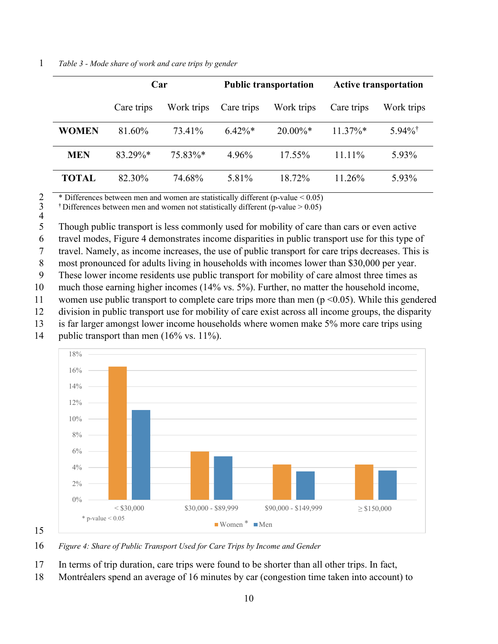|  | Table 3 - Mode share of work and care trips by gender |  |
|--|-------------------------------------------------------|--|
|--|-------------------------------------------------------|--|

|              | Car        |            |            | <b>Public transportation</b> | <b>Active transportation</b> |                       |
|--------------|------------|------------|------------|------------------------------|------------------------------|-----------------------|
|              | Care trips | Work trips | Care trips | Work trips                   | Care trips                   | Work trips            |
| <b>WOMEN</b> | 81.60%     | 73.41%     | $6.42\%*$  | $20.00\%$ <sup>*</sup>       | $11.37\%*$                   | $5.94\%$ <sup>†</sup> |
| <b>MEN</b>   | 83.29%*    | 75.83%*    | 4.96%      | $17.55\%$                    | $11.11\%$                    | 5.93%                 |
| <b>TOTAL</b> | 82.30%     | 74.68%     | 5.81%      | 18.72%                       | 11.26%                       | 5.93%                 |

\* Differences between men and women are statistically different (p-value  $< 0.05$ )

 $\dagger$  Differences between men and women not statistically different (p-value  $> 0.05$ )

 $\begin{array}{c} 2 \\ 3 \\ 4 \end{array}$ 

5 Though public transport is less commonly used for mobility of care than cars or even active

6 travel modes, Figure 4 demonstrates income disparities in public transport use for this type of

7 travel. Namely, as income increases, the use of public transport for care trips decreases. This is

8 most pronounced for adults living in households with incomes lower than \$30,000 per year.

9 These lower income residents use public transport for mobility of care almost three times as

- 10 much those earning higher incomes (14% vs. 5%). Further, no matter the household income,
- 11 women use public transport to complete care trips more than men (p <0.05). While this gendered
- 12 division in public transport use for mobility of care exist across all income groups, the disparity
- 13 is far larger amongst lower income households where women make 5% more care trips using
- 14 public transport than men (16% vs. 11%).



16 *Figure 4: Share of Public Transport Used for Care Trips by Income and Gender* 

- 17 In terms of trip duration, care trips were found to be shorter than all other trips. In fact,
- 18 Montréalers spend an average of 16 minutes by car (congestion time taken into account) to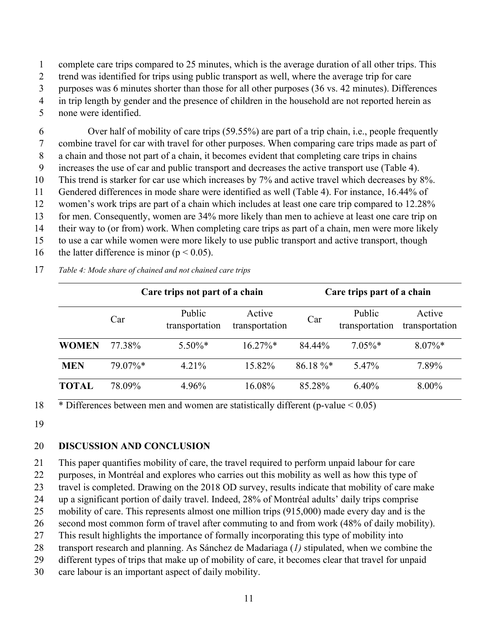1 complete care trips compared to 25 minutes, which is the average duration of all other trips. This

2 trend was identified for trips using public transport as well, where the average trip for care

3 purposes was 6 minutes shorter than those for all other purposes (36 vs. 42 minutes). Differences

4 in trip length by gender and the presence of children in the household are not reported herein as 5 none were identified.

6 Over half of mobility of care trips (59.55%) are part of a trip chain, i.e., people frequently 7 combine travel for car with travel for other purposes. When comparing care trips made as part of 8 a chain and those not part of a chain, it becomes evident that completing care trips in chains 9 increases the use of car and public transport and decreases the active transport use (Table 4). 10 This trend is starker for car use which increases by 7% and active travel which decreases by 8%. 11 Gendered differences in mode share were identified as well (Table 4). For instance, 16.44% of 12 women's work trips are part of a chain which includes at least one care trip compared to 12.28% 13 for men. Consequently, women are 34% more likely than men to achieve at least one care trip on 14 their way to (or from) work. When completing care trips as part of a chain, men were more likely 15 to use a car while women were more likely to use public transport and active transport, though

16 the latter difference is minor ( $p < 0.05$ ).

17 *Table 4: Mode share of chained and not chained care trips*

|              |         | Care trips not part of a chain |                          | Care trips part of a chain |                          |                          |
|--------------|---------|--------------------------------|--------------------------|----------------------------|--------------------------|--------------------------|
|              | Car     | Public<br>transportation       | Active<br>transportation | Car                        | Public<br>transportation | Active<br>transportation |
| <b>WOMEN</b> | 77.38%  | $5.50\%*$                      | $16.27\%*$               | 84.44%                     | $7.05\%*$                | $8.07\%$ *               |
| <b>MEN</b>   | 79.07%* | $4.21\%$                       | 15.82%                   | $86.18\%$                  | 5.47%                    | 7.89%                    |
| TOTAL        | 78.09%  | 4.96%                          | 16.08%                   | 85.28%                     | $6.40\%$                 | $8.00\%$                 |

18  $\overline{\phantom{a}}$  \* Differences between men and women are statistically different (p-value  $\leq 0.05$ )

19

## 20 **DISCUSSION AND CONCLUSION**

21 This paper quantifies mobility of care, the travel required to perform unpaid labour for care

22 purposes, in Montréal and explores who carries out this mobility as well as how this type of

23 travel is completed. Drawing on the 2018 OD survey, results indicate that mobility of care make

24 up a significant portion of daily travel. Indeed, 28% of Montréal adults' daily trips comprise

25 mobility of care. This represents almost one million trips (915,000) made every day and is the

26 second most common form of travel after commuting to and from work (48% of daily mobility).

27 This result highlights the importance of formally incorporating this type of mobility into

28 transport research and planning. As Sánchez de Madariaga (*1)* stipulated, when we combine the

29 different types of trips that make up of mobility of care, it becomes clear that travel for unpaid

30 care labour is an important aspect of daily mobility.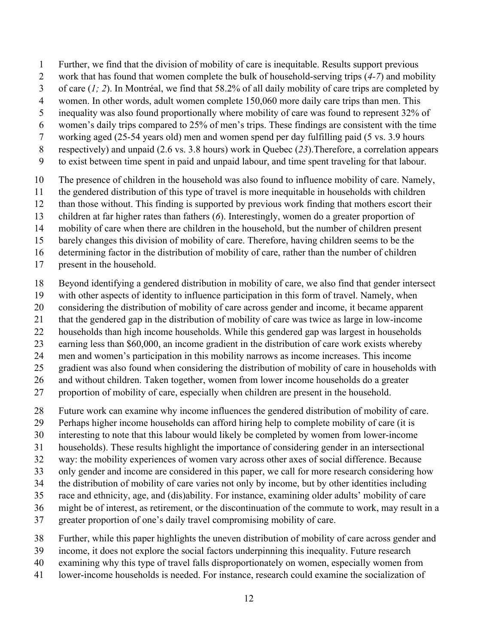- 1 Further, we find that the division of mobility of care is inequitable. Results support previous
- 2 work that has found that women complete the bulk of household-serving trips (*4-7*) and mobility
- 3 of care (*1; 2*). In Montréal, we find that 58.2% of all daily mobility of care trips are completed by
- 4 women. In other words, adult women complete 150,060 more daily care trips than men. This
- 5 inequality was also found proportionally where mobility of care was found to represent 32% of
- 6 women's daily trips compared to 25% of men's trips. These findings are consistent with the time
- 7 working aged (25-54 years old) men and women spend per day fulfilling paid (5 vs. 3.9 hours
- 8 respectively) and unpaid (2.6 vs. 3.8 hours) work in Quebec (*23*).Therefore, a correlation appears
- 9 to exist between time spent in paid and unpaid labour, and time spent traveling for that labour.
- 10 The presence of children in the household was also found to influence mobility of care. Namely,
- 11 the gendered distribution of this type of travel is more inequitable in households with children
- 12 than those without. This finding is supported by previous work finding that mothers escort their
- 13 children at far higher rates than fathers (*6*). Interestingly, women do a greater proportion of
- 14 mobility of care when there are children in the household, but the number of children present
- 15 barely changes this division of mobility of care. Therefore, having children seems to be the
- 16 determining factor in the distribution of mobility of care, rather than the number of children
- 17 present in the household.
- 18 Beyond identifying a gendered distribution in mobility of care, we also find that gender intersect
- 19 with other aspects of identity to influence participation in this form of travel. Namely, when
- 20 considering the distribution of mobility of care across gender and income, it became apparent
- 21 that the gendered gap in the distribution of mobility of care was twice as large in low-income
- 22 households than high income households. While this gendered gap was largest in households
- 23 earning less than \$60,000, an income gradient in the distribution of care work exists whereby
- 24 men and women's participation in this mobility narrows as income increases. This income
- 25 gradient was also found when considering the distribution of mobility of care in households with
- 26 and without children. Taken together, women from lower income households do a greater
- 27 proportion of mobility of care, especially when children are present in the household.
- 28 Future work can examine why income influences the gendered distribution of mobility of care.
- 29 Perhaps higher income households can afford hiring help to complete mobility of care (it is
- 30 interesting to note that this labour would likely be completed by women from lower-income
- 31 households). These results highlight the importance of considering gender in an intersectional
- 32 way: the mobility experiences of women vary across other axes of social difference. Because
- 33 only gender and income are considered in this paper, we call for more research considering how
- 34 the distribution of mobility of care varies not only by income, but by other identities including
- 35 race and ethnicity, age, and (dis)ability. For instance, examining older adults' mobility of care
- 36 might be of interest, as retirement, or the discontinuation of the commute to work, may result in a
- 37 greater proportion of one's daily travel compromising mobility of care.
- 38 Further, while this paper highlights the uneven distribution of mobility of care across gender and
- 39 income, it does not explore the social factors underpinning this inequality. Future research
- 40 examining why this type of travel falls disproportionately on women, especially women from
- 41 lower-income households is needed. For instance, research could examine the socialization of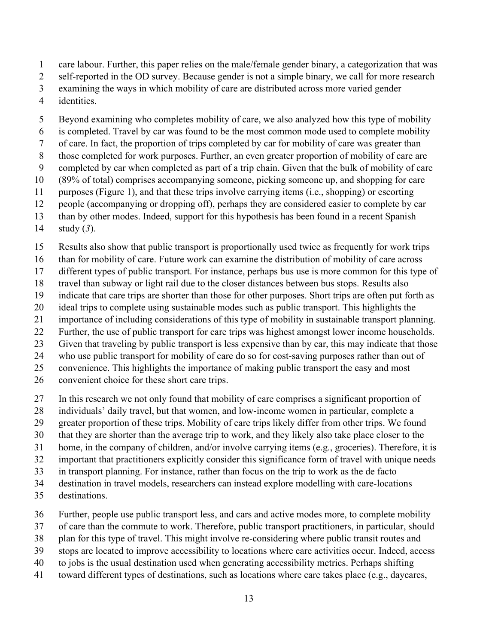- 1 care labour. Further, this paper relies on the male/female gender binary, a categorization that was
- 2 self-reported in the OD survey. Because gender is not a simple binary, we call for more research
- 3 examining the ways in which mobility of care are distributed across more varied gender
- 4 identities.
- 5 Beyond examining who completes mobility of care, we also analyzed how this type of mobility
- 6 is completed. Travel by car was found to be the most common mode used to complete mobility
- 7 of care. In fact, the proportion of trips completed by car for mobility of care was greater than
- 8 those completed for work purposes. Further, an even greater proportion of mobility of care are
- 9 completed by car when completed as part of a trip chain. Given that the bulk of mobility of care
- 10 (89% of total) comprises accompanying someone, picking someone up, and shopping for care
- 11 purposes (Figure 1), and that these trips involve carrying items (i.e., shopping) or escorting
- 12 people (accompanying or dropping off), perhaps they are considered easier to complete by car 13 than by other modes. Indeed, support for this hypothesis has been found in a recent Spanish
- 
- 14 study (*3*).
- 15 Results also show that public transport is proportionally used twice as frequently for work trips
- 16 than for mobility of care. Future work can examine the distribution of mobility of care across
- 17 different types of public transport. For instance, perhaps bus use is more common for this type of
- 18 travel than subway or light rail due to the closer distances between bus stops. Results also
- 19 indicate that care trips are shorter than those for other purposes. Short trips are often put forth as
- 20 ideal trips to complete using sustainable modes such as public transport. This highlights the
- 21 importance of including considerations of this type of mobility in sustainable transport planning. 22 Further, the use of public transport for care trips was highest amongst lower income households.
- 23 Given that traveling by public transport is less expensive than by car, this may indicate that those
- 24 who use public transport for mobility of care do so for cost-saving purposes rather than out of
- 25 convenience. This highlights the importance of making public transport the easy and most
- 26 convenient choice for these short care trips.
- 27 In this research we not only found that mobility of care comprises a significant proportion of
- 28 individuals' daily travel, but that women, and low-income women in particular, complete a
- 29 greater proportion of these trips. Mobility of care trips likely differ from other trips. We found
- 30 that they are shorter than the average trip to work, and they likely also take place closer to the
- 31 home, in the company of children, and/or involve carrying items (e.g., groceries). Therefore, it is
- 32 important that practitioners explicitly consider this significance form of travel with unique needs
- 33 in transport planning. For instance, rather than focus on the trip to work as the de facto
- 34 destination in travel models, researchers can instead explore modelling with care-locations
- 35 destinations.
- 36 Further, people use public transport less, and cars and active modes more, to complete mobility
- 37 of care than the commute to work. Therefore, public transport practitioners, in particular, should
- 38 plan for this type of travel. This might involve re-considering where public transit routes and
- 39 stops are located to improve accessibility to locations where care activities occur. Indeed, access
- 40 to jobs is the usual destination used when generating accessibility metrics. Perhaps shifting
- 41 toward different types of destinations, such as locations where care takes place (e.g., daycares,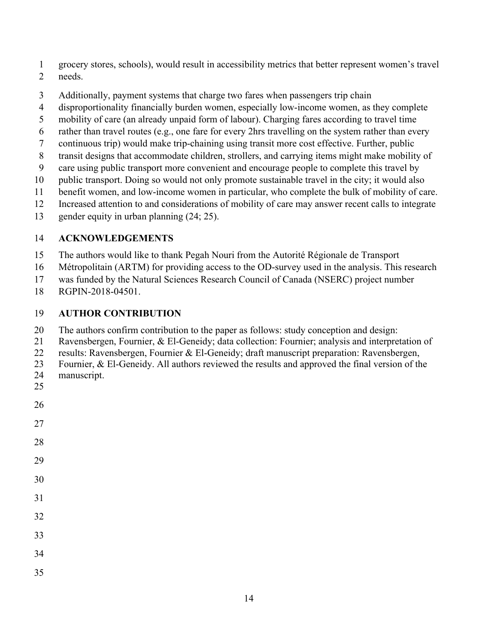- 1 grocery stores, schools), would result in accessibility metrics that better represent women's travel
- 2 needs.
- 3 Additionally, payment systems that charge two fares when passengers trip chain
- 4 disproportionality financially burden women, especially low-income women, as they complete
- 5 mobility of care (an already unpaid form of labour). Charging fares according to travel time
- 6 rather than travel routes (e.g., one fare for every 2hrs travelling on the system rather than every
- 7 continuous trip) would make trip-chaining using transit more cost effective. Further, public
- 8 transit designs that accommodate children, strollers, and carrying items might make mobility of
- 9 care using public transport more convenient and encourage people to complete this travel by
- 10 public transport. Doing so would not only promote sustainable travel in the city; it would also
- 11 benefit women, and low-income women in particular, who complete the bulk of mobility of care.
- 12 Increased attention to and considerations of mobility of care may answer recent calls to integrate
- 13 gender equity in urban planning (24; 25).

# 14 **ACKNOWLEDGEMENTS**

- 15 The authors would like to thank Pegah Nouri from the Autorité Régionale de Transport
- 16 Métropolitain (ARTM) for providing access to the OD-survey used in the analysis. This research
- 17 was funded by the Natural Sciences Research Council of Canada (NSERC) project number
- 18 RGPIN-2018-04501.

## 19 **AUTHOR CONTRIBUTION**

- 20 The authors confirm contribution to the paper as follows: study conception and design:
- 21 Ravensbergen, Fournier, & El-Geneidy; data collection: Fournier; analysis and interpretation of
- 22 results: Ravensbergen, Fournier & El-Geneidy; draft manuscript preparation: Ravensbergen,
- 23 Fournier, & El-Geneidy. All authors reviewed the results and approved the final version of the

14

- 24 manuscript.
- 25

# 26

27

28

29

30

31

32

33

34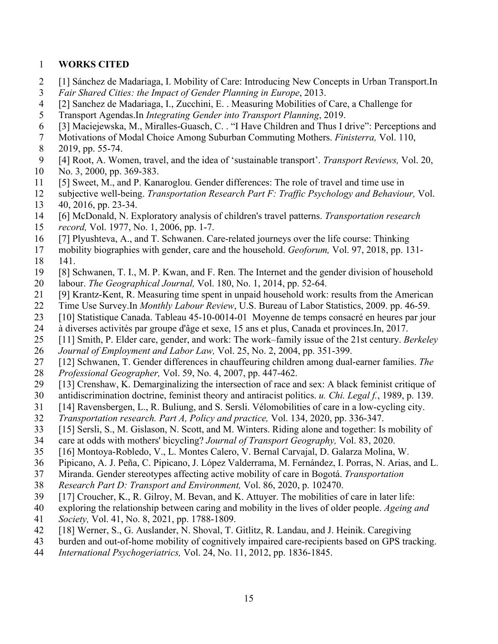### 1 **WORKS CITED**

- 2 [1] Sánchez de Madariaga, I. Mobility of Care: Introducing New Concepts in Urban Transport.In
- 3 *Fair Shared Cities: the Impact of Gender Planning in Europe*, 2013.
- 4 [2] Sanchez de Madariaga, I., Zucchini, E. . Measuring Mobilities of Care, a Challenge for
- 5 Transport Agendas.In *Integrating Gender into Transport Planning*, 2019.
- 6 [3] Maciejewska, M., Miralles-Guasch, C. . "I Have Children and Thus I drive": Perceptions and
- 7 Motivations of Modal Choice Among Suburban Commuting Mothers. *Finisterra,* Vol. 110,
- 8 2019, pp. 55-74.
- 9 [4] Root, A. Women, travel, and the idea of 'sustainable transport'. *Transport Reviews,* Vol. 20, 10 No. 3, 2000, pp. 369-383.
- 11 [5] Sweet, M., and P. Kanaroglou. Gender differences: The role of travel and time use in
- 12 subjective well-being. *Transportation Research Part F: Traffic Psychology and Behaviour,* Vol.
- 13 40, 2016, pp. 23-34.
- 14 [6] McDonald, N. Exploratory analysis of children's travel patterns. *Transportation research*
- 15 *record,* Vol. 1977, No. 1, 2006, pp. 1-7.
- 16 [7] Plyushteva, A., and T. Schwanen. Care-related journeys over the life course: Thinking
- 17 mobility biographies with gender, care and the household. *Geoforum,* Vol. 97, 2018, pp. 131-
- 18 141.
- 19 [8] Schwanen, T. I., M. P. Kwan, and F. Ren. The Internet and the gender division of household 20 labour. *The Geographical Journal,* Vol. 180, No. 1, 2014, pp. 52-64.
- 
- 21 [9] Krantz-Kent, R. Measuring time spent in unpaid household work: results from the American
- 22 Time Use Survey.In *Monthly Labour Review*, U.S. Bureau of Labor Statistics, 2009. pp. 46-59.
- 23 [10] Statistique Canada. Tableau 45-10-0014-01 Moyenne de temps consacré en heures par jour
- 24 à diverses activités par groupe d'âge et sexe, 15 ans et plus, Canada et provinces.In, 2017.
- 25 [11] Smith, P. Elder care, gender, and work: The work–family issue of the 21st century. *Berkeley*
- 26 *Journal of Employment and Labor Law,* Vol. 25, No. 2, 2004, pp. 351-399.
- 27 [12] Schwanen, T. Gender differences in chauffeuring children among dual-earner families. *The*
- 28 *Professional Geographer,* Vol. 59, No. 4, 2007, pp. 447-462.
- 29 [13] Crenshaw, K. Demarginalizing the intersection of race and sex: A black feminist critique of
- 30 antidiscrimination doctrine, feminist theory and antiracist politics. *u. Chi. Legal f.*, 1989, p. 139.
- 31 [14] Ravensbergen, L., R. Buliung, and S. Sersli. Vélomobilities of care in a low-cycling city.
- 32 *Transportation research. Part A, Policy and practice,* Vol. 134, 2020, pp. 336-347.
- 33 [15] Sersli, S., M. Gislason, N. Scott, and M. Winters. Riding alone and together: Is mobility of
- 34 care at odds with mothers' bicycling? *Journal of Transport Geography,* Vol. 83, 2020.
- 35 [16] Montoya-Robledo, V., L. Montes Calero, V. Bernal Carvajal, D. Galarza Molina, W.
- 36 Pipicano, A. J. Peña, C. Pipicano, J. López Valderrama, M. Fernández, I. Porras, N. Arias, and L.
- 37 Miranda. Gender stereotypes affecting active mobility of care in Bogotá. *Transportation*
- 38 *Research Part D: Transport and Environment,* Vol. 86, 2020, p. 102470.
- 39 [17] Croucher, K., R. Gilroy, M. Bevan, and K. Attuyer. The mobilities of care in later life:
- 40 exploring the relationship between caring and mobility in the lives of older people. *Ageing and*
- 41 *Society,* Vol. 41, No. 8, 2021, pp. 1788-1809.
- 42 [18] Werner, S., G. Auslander, N. Shoval, T. Gitlitz, R. Landau, and J. Heinik. Caregiving
- 43 burden and out-of-home mobility of cognitively impaired care-recipients based on GPS tracking.
- 44 *International Psychogeriatrics,* Vol. 24, No. 11, 2012, pp. 1836-1845.